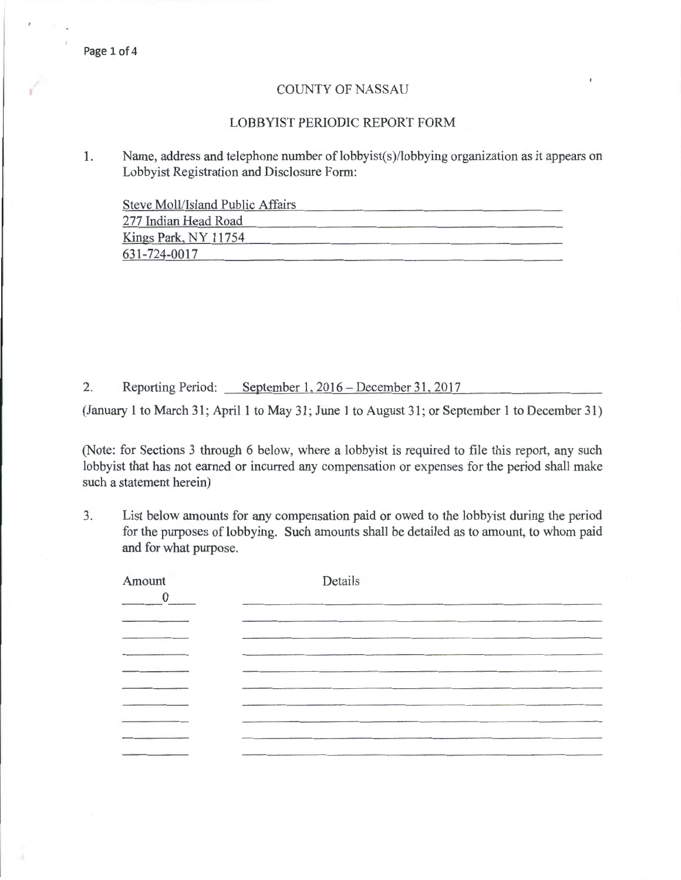## COUNTY OF NASSAU

## LOBBYIST PERIODIC REPORT FORM

1. Name, address and telephone number of lobbyist(s)/lobbying organization as it appears on Lobbyist Registration and Disclosure Form:

Steve Moll/Island Public Affairs

| 277 Indian Head Road |  |
|----------------------|--|
| Kings Park, NY 11754 |  |
| 631-724-0017         |  |

2. Reporting Period: September 1, 2016- December 31, 2017

(January 1 to March 31; April 1 to May 31; June 1 to August 31; or September 1 to December 31)

(Note: for Sections 3 through 6 below, where a lobbyist is required to file this report, any such lobbyist that has not earned or incurred any compensation or expenses for the period shall make such a statement herein)

3. List below amounts for any compensation paid or owed to the lobbyist during the period for the purposes of lobbying. Such amounts shall be detailed as to amount, to whom paid and for what purpose.

| Amount<br>$\theta$ | Details                                                                                                                                                                                                                       |
|--------------------|-------------------------------------------------------------------------------------------------------------------------------------------------------------------------------------------------------------------------------|
|                    |                                                                                                                                                                                                                               |
|                    | the company of the company of the company of the company of the company of the company of the company of the company of the company of the company of the company of the company of the company of the company of the company |
|                    |                                                                                                                                                                                                                               |
|                    |                                                                                                                                                                                                                               |
|                    | the contract of the contract of the contract of the contract of the contract of                                                                                                                                               |
|                    |                                                                                                                                                                                                                               |
|                    |                                                                                                                                                                                                                               |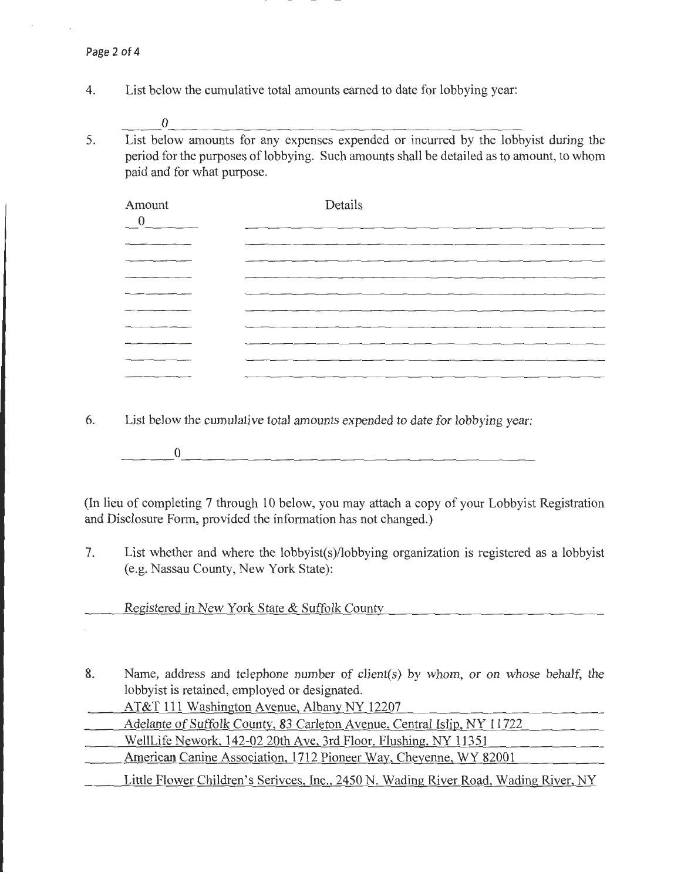- 4. List below the cumulative total amounts earned to date for lobbying year:
	- $\overline{\phantom{a}}^0$
- 5. List below amounts for any expenses expended or incurred by the lobbyist during the period for the purposes of lobbying. Such amounts shall be detailed as to amount, to whom paid and for what purpose.

| Amount<br>$\overline{0}$ | Details |
|--------------------------|---------|
|                          |         |
|                          |         |
|                          |         |
|                          |         |
|                          |         |
|                          |         |
|                          |         |
|                          |         |
|                          |         |

6. List below the cumulative total amounts expended to date for lobbying year:

 $\overline{\phantom{a}}$   $\overline{\phantom{a}}$   $\overline{\phantom{a}}$   $\overline{\phantom{a}}$   $\overline{\phantom{a}}$   $\overline{\phantom{a}}$   $\overline{\phantom{a}}$   $\overline{\phantom{a}}$   $\overline{\phantom{a}}$   $\overline{\phantom{a}}$   $\overline{\phantom{a}}$   $\overline{\phantom{a}}$   $\overline{\phantom{a}}$   $\overline{\phantom{a}}$   $\overline{\phantom{a}}$   $\overline{\phantom{a}}$   $\overline{\phantom{a}}$   $\overline{\phantom{a}}$   $\overline{\$ 

(In lieu of completing 7 through 10 below, you may attach a copy of your Lobbyist Registration and Disclosure Form, provided the information has not changed.)

7. List whether and where the lobbyist(s)/lobbying organization is registered as a lobbyist (e.g. Nassau County, New York State):

Registered in New York State & Suffolk County

- 8. Name, address and telephone number of client(s) by whom, or on whose behalf, the lobbyist is retained, employed or designated.
- AT&T 111 Washington Avenue, Albany NY 12207 Adelante of Suffolk County, 83 Carleton A venue, Central Islip, NY 11722 WellLife Nework, 142-02 20th Ave, 3rd Floor, Flushing, NY 11351

American Canine Association, 1712 Pioneer Way, Cheyenne, WY 82001

Little Flower Children's Serivces, Inc., 2450 N. Wading River Road, Wading River, NY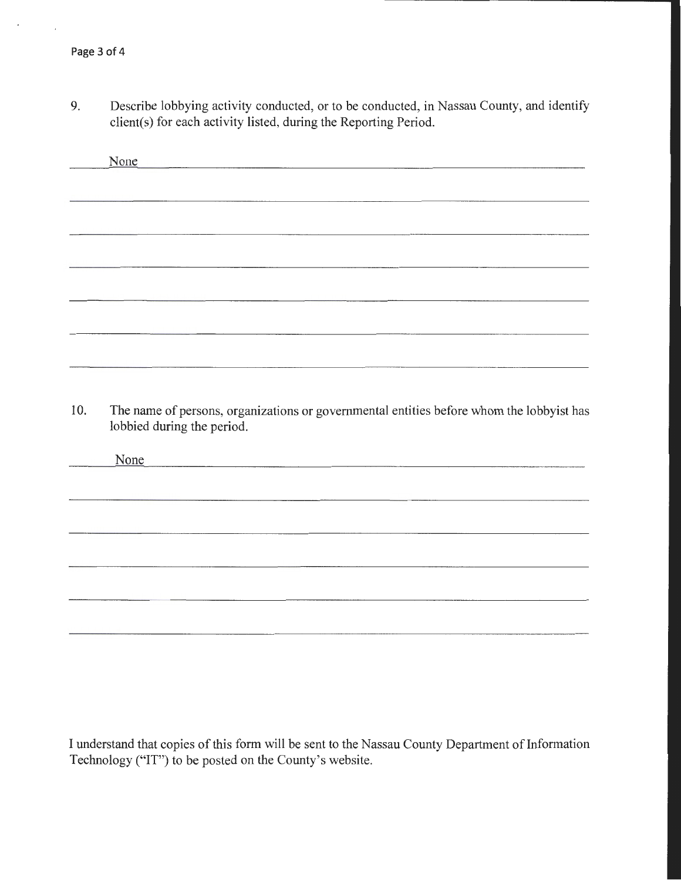$\overline{a}$ 

9. Describe lobbying activity conducted, or to be conducted, in Nassau County, and identify client(s) for each activity listed, during the Reporting Period.

|     | None                                                                                                                   |
|-----|------------------------------------------------------------------------------------------------------------------------|
|     |                                                                                                                        |
|     |                                                                                                                        |
|     |                                                                                                                        |
|     |                                                                                                                        |
|     |                                                                                                                        |
|     |                                                                                                                        |
|     |                                                                                                                        |
|     |                                                                                                                        |
|     |                                                                                                                        |
|     |                                                                                                                        |
| 10. | The name of persons, organizations or governmental entities before whom the lobbyist has<br>lobbied during the period. |
|     | None                                                                                                                   |
|     |                                                                                                                        |

I understand that copies of this form will be sent to the Nassau County Department of Information Technology ("IT") to be posted on the County's website.